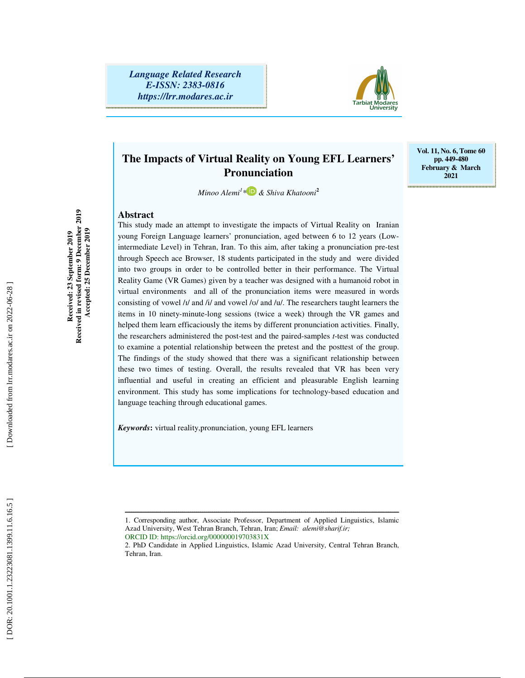*Language Related Research E-ISSN: 2383-0816 https://lrr.modares.ac.ir*



**Vol. 11, No. 6, Tome 60 pp. 449-480 February & March 2021** 

# **The Impacts of Virtual Reality on Young EFL Learners' Pronunciation**

*Minoo Alemi 1 \* & Shiva Khatooni* **2**

This study made an attempt to investigate the impacts of Virtual Reality on Iranian

#### **Abstract**

Received in revised form: 9 December 2019 **Received in revised form: 9 December 2019 Accepted: 25 December 2019**  Accepted: 25 December 2019 Received: 23 September 2019 **Received: 23 September 2019** 

young Foreign Language learners' pronunciation, aged between 6 to 12 years (Lowintermediate Level) in Tehran, Iran. To this aim, after taking a pronunciation pre-test through Speech ace Browser, 18 students participated in the study and were divided into two groups in order to be controlled better in their performance. The Virtual Reality Game (VR Games) given by a teacher was designed with a humanoid robot in virtual environments and all of the pronunciation items were measured in words consisting of vowel /1/ and /i/ and vowel /v/ and /u/. The researchers taught learners the items in 10 ninety-minute-long sessions (twice a week) through the VR games and helped them learn efficaciously the items by different pronunciation activities. Finally, the researchers administered the post-test and the paired-samples *t*-test was conducted to examine a potential relationship between the pretest and the posttest of the group. The findings of the study showed that there was a significant relationship between these two times of testing. Overall, the results revealed that VR has been very influential and useful in creating an efficient and pleasurable English learning environment. This study has some implications for technology-based education and language teaching through educational games.

*Keywords* **:** virtual reality,pronunciation, young EFL learners

ــــــــــــــــــــــــــــــــــــــــــــــــــــــــــــــــــــــــــــــــــــــــــــــــــــــــــــــــــــــــــــــــــــــــــ

<sup>1.</sup> Corresponding author, Associate Professor, Department of Applied Linguistics, Islamic Azad University, West Tehran Branch, Tehran, Iran; *Email: alemi@sharif.ir;*

ORCID ID: https://orcid.org/000000019703831X

<sup>2.</sup> PhD Candidate in Applied Linguistics, Islamic Azad University, Central Tehran Branch, Tehran, Iran.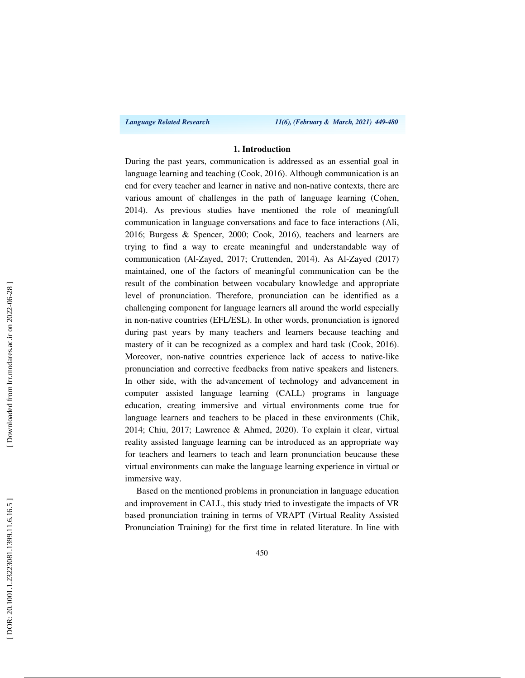*Language Related Research 11(6), (February & March, 2021) 449-480*

#### **1. Introduction**

During the past years, communication is addressed as an essential goal in language learning and teaching (Cook, 2016). Although communication is an end for every teacher and learner in native and non-native contexts, there are various amount of challenges in the path of language learning (Cohen, 2014). As previous studies have mentioned the role of meaningfull communication in language conversations and face to face interactions (Ali, 2016; Burgess & Spencer, 2000; Cook, 2016), teachers and learners are trying to find a way to create meaningful and understandable way of communication (Al-Zayed, 2017; Cruttenden, 2014). As Al-Zayed (2017) maintained, one of the factors of meaningful communication can be the result of the combination between vocabulary knowledge and appropriate level of pronunciation. Therefore, pronunciation can be identified as a challenging component for language learners all around the world especially in non-native countries (EFL/ESL). In other words, pronunciation is ignored during past years by many teachers and learners because teaching and mastery of it can be recognized as a complex and hard task (Cook, 2016). Moreover, non-native countries experience lack of access to native-like pronunciation and corrective feedbacks from native speakers and listeners. In other side, with the advancement of technology and advancement in computer assisted language learning (CALL) programs in language education, creating immersive and virtual environments come true for language learners and teachers to be placed in these environments (Chik, 2014; Chiu, 2017; Lawrence & Ahmed, 2020). To explain it clear, virtual reality assisted language learning can be introduced as an appropriate way for teachers and learners to teach and learn pronunciation beucause these virtual environments can make the language learning experience in virtual or immersive way.

Based on the mentioned problems in pronunciation in language education and improvement in CALL, this study tried to investigate the impacts of VR based pronunciation training in terms of VRAPT (Virtual Reality Assisted Pronunciation Training) for the first time in related literature. In line with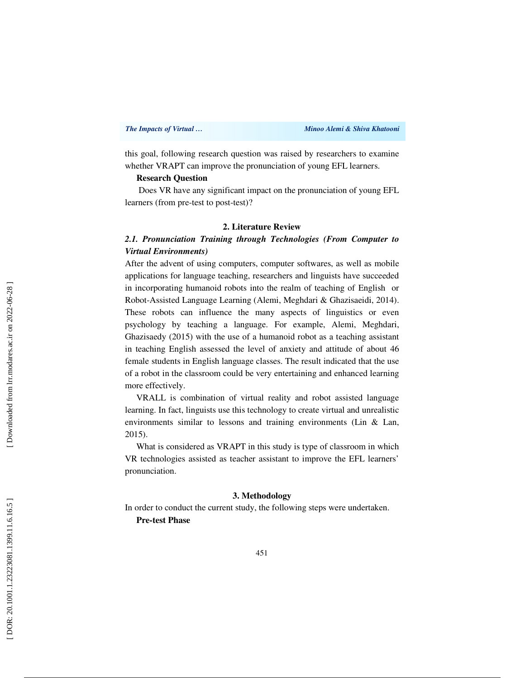this goal, following research question was raised by researchers to examine whether VRAPT can improve the pronunciation of young EFL learners.

### **Research Question**

 Does VR have any significant impact on the pronunciation of young EFL learners (from pre-test to post-test)?

# **2. Literature Review**

# *2.1. Pronunciation Training through Technologies (From Computer to Virtual Environments)*

After the advent of using computers, computer softwares, as well as mobile applications for language teaching, researchers and linguists have succeeded in incorporating humanoid robots into the realm of teaching of English or Robot-Assisted Language Learning (Alemi, Meghdari & Ghazisaeidi, 2014). These robots can influence the many aspects of linguistics or even psychology by teaching a language. For example, Alemi, Meghdari, Ghazisaedy (2015) with the use of a humanoid robot as a teaching assistant in teaching English assessed the level of anxiety and attitude of about 46 female students in English language classes. The result indicated that the use of a robot in the classroom could be very entertaining and enhanced learning more effectively.

VRALL is combination of virtual reality and robot assisted language learning. In fact, linguists use this technology to create virtual and unrealistic environments similar to lessons and training environments (Lin & Lan, 2015).

What is considered as VRAPT in this study is type of classroom in which VR technologies assisted as teacher assistant to improve the EFL learners' pronunciation.

#### **3. Methodology**

In order to conduct the current study, the following steps were undertaken.

**Pre-test Phase**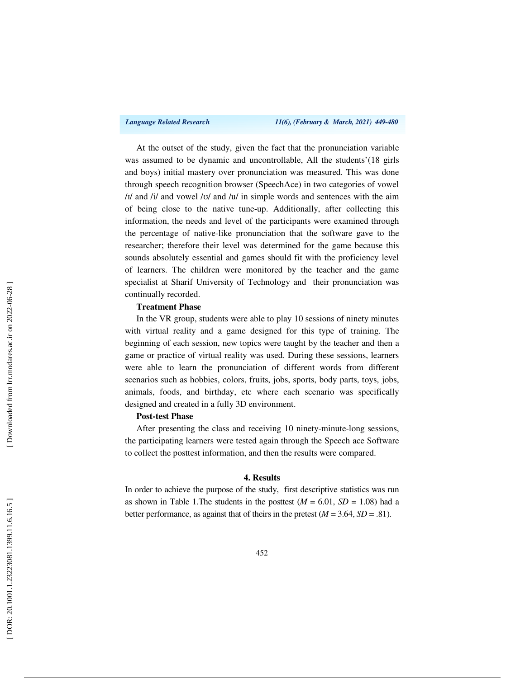At the outset of the study, given the fact that the pronunciation variable was assumed to be dynamic and uncontrollable, All the students'(18 girls and boys) initial mastery over pronunciation was measured. This was done through speech recognition browser (SpeechAce) in two categories of vowel  $/1/$  and  $/1/$  and vowel  $/1/$  and  $/1/$  in simple words and sentences with the aim of being close to the native tune-up. Additionally, after collecting this information, the needs and level of the participants were examined through the percentage of native-like pronunciation that the software gave to the researcher; therefore their level was determined for the game because this sounds absolutely essential and games should fit with the proficiency level of learners. The children were monitored by the teacher and the game specialist at Sharif University of Technology and their pronunciation was continually recorded.

#### **Treatment Phase**

In the VR group, students were able to play 10 sessions of ninety minutes with virtual reality and a game designed for this type of training. The beginning of each session, new topics were taught by the teacher and then a game or practice of virtual reality was used. During these sessions, learners were able to learn the pronunciation of different words from different scenarios such as hobbies, colors, fruits, jobs, sports, body parts, toys, jobs, animals, foods, and birthday, etc where each scenario was specifically designed and created in a fully 3D environment.

#### **Post-test Phase**

After presenting the class and receiving 10 ninety-minute-long sessions, the participating learners were tested again through the Speech ace Software to collect the posttest information, and then the results were compared.

#### **4. Results**

In order to achieve the purpose of the study, first descriptive statistics was run as shown in Table 1. The students in the posttest  $(M = 6.01, SD = 1.08)$  had a better performance, as against that of theirs in the pretest  $(M = 3.64, SD = .81)$ .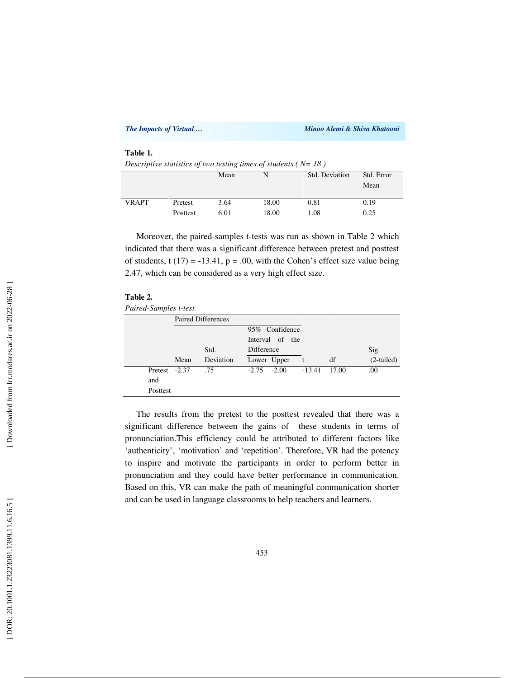|                                                                                  | The Impacts of Virtual |      |       | Minoo Alemi & Shiva Khatooni |            |  |  |  |
|----------------------------------------------------------------------------------|------------------------|------|-------|------------------------------|------------|--|--|--|
| Table 1.<br>Descriptive statistics of two testing times of students ( $N = 18$ ) |                        |      |       |                              |            |  |  |  |
|                                                                                  |                        | Mean | N     | Std. Deviation               | Std. Error |  |  |  |
|                                                                                  |                        |      |       |                              | Mean       |  |  |  |
|                                                                                  |                        |      |       |                              |            |  |  |  |
| <b>VRAPT</b>                                                                     | Pretest                | 3.64 | 18.00 | 0.81                         | 0.19       |  |  |  |
|                                                                                  | Posttest               | 6.01 | 18.00 | 1.08                         | 0.25       |  |  |  |

Moreover, the paired-samples t-tests was run as shown in Table 2 which indicated that there was a significant difference between pretest and posttest of students, t  $(17) = -13.41$ ,  $p = .00$ , with the Cohen's effect size value being 2.47, which can be considered as a very high effect size.

| <b>Table</b> |  |
|--------------|--|
|--------------|--|

*Paired-Samples t-test*

|               | <b>Paired Differences</b> |           |                   |                 |          |       |              |
|---------------|---------------------------|-----------|-------------------|-----------------|----------|-------|--------------|
|               |                           |           |                   | 95% Confidence  |          |       |              |
|               |                           |           |                   | Interval of the |          |       |              |
|               |                           | Std.      | <b>Difference</b> |                 |          |       | Sig.         |
|               | Mean                      | Deviation | Lower Upper       |                 | t        | df    | $(2-tailed)$ |
| Pretest -2.37 |                           | .75       | $-2.75 - 2.00$    |                 | $-13.41$ | 17.00 | .00.         |
| and           |                           |           |                   |                 |          |       |              |
| Posttest      |                           |           |                   |                 |          |       |              |

The results from the pretest to the posttest revealed that there was a significant difference between the gains of these students in terms of pronunciation.This efficiency could be attributed to different factors like 'authenticity', 'motivation' and 'repetition'. Therefore, VR had the potency to inspire and motivate the participants in order to perform better in pronunciation and they could have better performance in communication. Based on this, VR can make the path of meaningful communication shorter and can be used in language classrooms to help teachers and learners.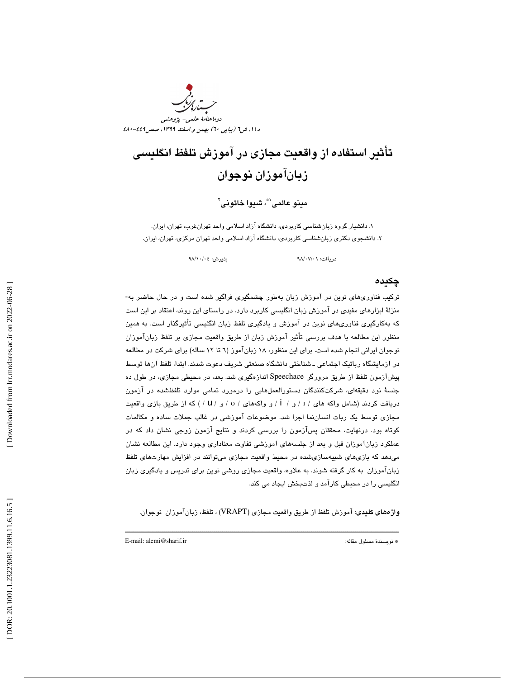

# تأثير استفاده از واقعيت مجازي در آموزش تلفظ انگليسي زبانآموزان نوجوان

مينو عالمي`\*، شيوا خاتوني`

. دانشيار گروه زبانشناسي كاربردي، دانشگاه آزاد اسلامي واحد تهرانغرب، تهران، ايران. 1 . دانشجوي دكتري زبانشناسي كاربردي، دانشگاه آزاد اسلامي واحد تهران مركزي، تهران، ايران. 2

دريافت: 01/ 07/ 98 پذيرش: 04/ 10/ 98

# چكيده

تركيب فناوريهاي نوين در آموزش زبان بهطور چشمگيري فراگير شده است و در حال حاضر به- منزلة ابزارهاي مفيدي در آموزش زبان انگليسي كاربرد دارد. در راستاي اين روند، اعتقاد بر اين است كه بهكارگيري فناوريهاي نوين در آموزش و يادگيري تلفظ زبان انگليسي تأثيرگذار است. به همين منظور اين مطالعه با هدف بررسي تأثير آموزش زبان از طريق واقعيت مجازي بر تلفظ زبانآموزان نوجوان ايراني انجام شده است. براي اين منظور، 18 زبانآموز ( 6 تا 12 ساله) براي شركت در مطالعه در آزمايشگاه رباتيك اجتماعي ـ شناختي دانشگاه صنعتي شريف دعوت شدند. ابتدا، تلفظ آنها توسط پيشآزمون تلفظ از طريق مرورگر Speechace اندازهگيري شد. بعد، در محيطي مجازي، در طول ده جلسة نود دقيقهاي، شركتكنندگان دستورالعملهايي را درمورد تمامي موارد تلفظشده در آزمون دريافت كردند (شامل واكه هاي / I / و / İ / و واكههاي / v / و / U /) كه از طريق بازي واقعيت مجازي توسط يك ربات انساننما اجرا شد. موضوعات آموزشي در غالب جملات ساده و مكالمات كوتاه بود. درنهايت، محققان پسآزمون را بررسي كردند و نتايج آزمون زوجي نشان داد كه در عملكرد زبانآموزان قبل و بعد از جلسههاي آموزشي تفاوت معناداري وجود دارد. اين مطالعه نشان ميدهد كه بازيهاي شبيهسازيشده در محيط واقعيت مجازي ميتوانند در افزايش مهارتهاي تلفظ زبانآموزان به كار گرفته شوند. به علاوه، واقعيت مجازي روشي نوين براي تدريس و يادگيري زبان انگليسي را در محيطي كارآمد و لذتبخش ايجاد مي كند.

واژههاي كليدي: آموزش تلفظ از طريق واقعيت مجازي (VRAPT (، تلفظ، زبانآموزان نوجوان.

ــــــــــــــــــــــــــــــــــــــــــــــــــــــــــــــــــــــــــــــــــــــــــــــــــــــــــــــــــــــــــــــــــــــــــ

E-mail: alemi@sharif.ir :مقاله مسئول نويسندة\*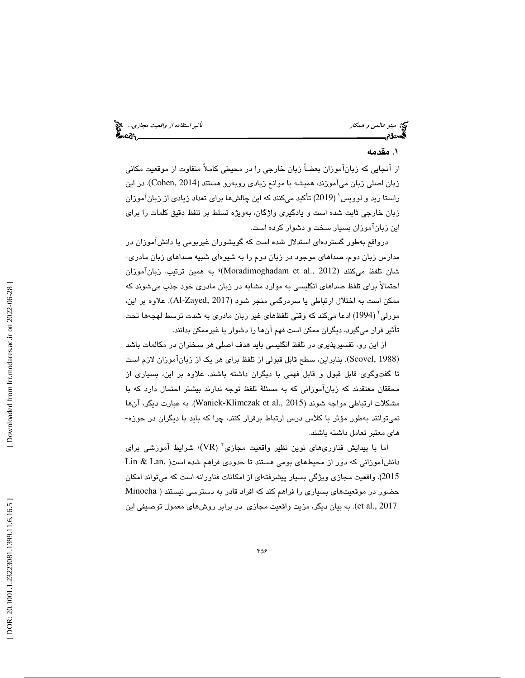مينو عالمي و همكار استفاده از واقعيت *مجازي...*. الميخ<br>**العددى التاريخ العدد التاريخ التاريخ التاريخ التاريخ التاريخ التاريخ التاريخ التاريخ التي تاريخ التاريخ التاريخ<br>العددى التاريخ التاريخ التاريخ التاريخ التاريخ التاري** 

# . مقدمه 1

از آنجايي كه زبانآموزان بعضاً زبان خارجي را در محيطي كاملاً متفاوت از موقعيت مكاني زبان اصلي زبان ميآموزند، هميشه با موانع زيادي روبهرو هستند (Cohen, 2014). در اين راستا ريد و لوويس 1 ( 2019) تأكيد ميكنند كه اين چالشها براي تعداد زيادي از زبانآموزان زبان خارجي ثابت شده است و يادگيري واژگان، بهويژه تسلط بر تلفظ دقيق كلمات را براي اين زبانآموزان بسيار سخت و دشوار كرده است.

درواقع بهطور گستردهاي استدلال شده است كه گويشوران غيربومي يا دانشآموزان در<br>مدارس زبان دوم، صداهاي موجود در زبان دوم را به شيوهاي شبيه صداهاي زبان مادري-شان تلفظ میکنند (Moradimoghadam et al., 2012)؛ به همین ترتیب، زبانآموزان احتمالاً براي تلفظ صداهاي انگليسي به موارد مشابه در زبان مادري خود جذب ميشوند كه ممكن است به اختلال ارتباطي يا سردرگمي منجر شود (Al-Zayed, 2017). علاوه بر اين، مورلي 2 ( 1994) ادعا ميكند كه وقتي تلفظهاي غير زبان مادري به شدت توسط لهجهها تحت تأثير قرار ميگيرد، ديگران ممكن است فهم آنها را دشوار يا غيرممكن بدانند .

از اين رو، تفسيرپذيري در تلفظ انگليسي بايد هدف اصلي هر سخنران در مكالمات باشد (Scovel, 1988). بنابراين، سطح قابل قبولي از تلفظ براي هر يک از زبانآموزان لازم است تا گفتوگوي قابل قبول و قابل فهمي با ديگران داشته باشند. علاوه بر اين، بسياري از محققان معتقدند كه زبانآموزاني كه به مسئلهٔ تلفظ توجه ندارند بيشتر احتمال دارد كه با مشكلات ارتباطي مواجه شوند (Waniek-Klimczak et al., 2015). به عبارت ديگر، آنها نميتوانند بهطور مؤثر با كلاس درس ارتباط برقرار كنند، چرا كه بايد با ديگران در حوزه- هاي معتبر تعامل داشته باشند.

اما با پيدايش فناورى $\mathfrak{sl}_2$ ى نوين نظير واقعيت مجازى $\text{V}\text{R}$ )، شرايط آموزشى براى دانشآموزاني كه دور از محيطهاي بومي هستند تا حدودي فراهم شده است( ,Lan & Lin 2015 .) واقعيت مجازي ويژگي بسيار پيشرفتهاي از امكانات فناورانه است كه ميتواند امكان حضور در موقعيتهاي بسياري را فراهم كند كه افراد قادر به دسترسي نيستند ( Minocha et al., 2017). به بيان ديگر، مزيت واقعيت مجازي در برابر روشهاي معمول توصيفي اين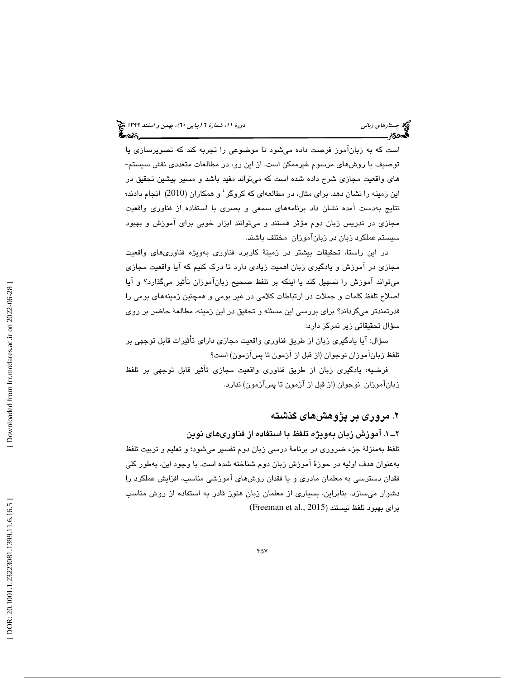است كه به زبانآموز فرصت داده میشود تا موضوعی را تجربه كند كه تصويرسازی يا<br>توصيف با روشهای مرسوم غيرممكن است. از اين رو، در مطالعات متعددی نقش سيستم-هاي واقعيت مجازي شرح داده شده است كه ميتواند مفيد باشد و مسير پيشين تحقيق در این زمینه را نشان دهد. برای مثال، در مطالعهای که کروگر ٔ و همکاران (2010) انجام دادند<del>،</del> نتايج بهدست آمده نشان داد برنامههاي سمعي و بصري با استفاده از فناوري واقعيت مجازي در تدريس زبان دوم مؤثر هستند و ميتوانند ابزار خوبي براي آموزش و بهبود سيستم عملكرد زبان در زبانآموزان مختلف باشند.

ر اين راستا، تحقيقات بيشتر در زمينة كاربرد فناوري بهويژه فناوريهاي واقعيت د مجازي در آموزش و يادگيري زبان اهميت زيادي دارد تا درك كنيم كه آيا واقعيت مجازي ميتواند آموزش را تسهيل كند يا اينكه بر تلفظ صحيح زبانآموزان تأثير ميگذارد؟ و آيا اصلاح تلفظ كلمات و جملات در ارتباطات كلامي در غير بومي و همچنين زمينههاي بومي را قدرتمندتر ميگرداند؟ براي بررسي اين مسئله و تحقيق در اين زمينه، مطالعة حاضر بر روي سؤال تحقيقاتي زير تمركز دارد:

سؤال: آيا يادگيري زبان از طريق فناوري واقعيت مجازي داراي تأثيرات قابل توجهي بر تلفظ زبانآموزان نوجوان (از قبل از آزمون تا پسآزمون) است؟

فرضيه: يادگيري زبان از طريق فناوري واقعيت مجازي تأثير قابل توجهي بر تلفظ زبانآموزان نوجوان (از قبل از آزمون تا پسآزمون) ندارد.

# ۲. مروری بر پژوهشهای گذشته

#### ۲ــ ۱. آموزش زبان بهويژه تلفظ با استفاده از فناورىهاى نوين

تلفظ بهمنزلة جزء ضروري در برنامة درسي زبان دوم تفسير ميشود؛ و تعليم و تربيت تلفظ بهعنوان هدف اوليه در حوزة آموزش زبان دوم شناخته شده است. با وجود اين، بهطور كلي فقدان دسترسي به معلمان مادري و يا فقدان روشهاي آموزشي مناسب، افزايش عملكرد را .دشوار مىسازد. بنابراين، بسيارى از معلمان زبان هنوز قادر به استفاده از روش مناسب براى بهبود تلفظ نيستند (Freeman et al., 2015)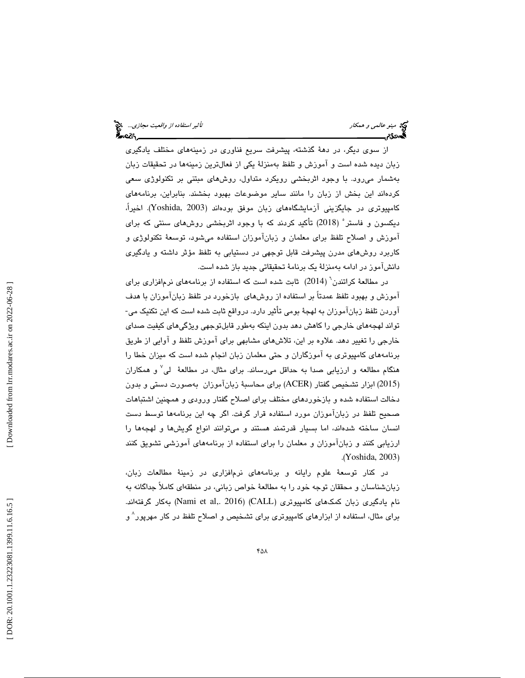از سوي ديگر، در دهة گذشته، پيشرفت سريع فناوري در زمينههاي مختلف يادگيري زبان ديده شده است و آموزش و تلفظ بهمنزلة يكي از فعالترين زمينهها در تحقيقات زبان بهشمار ميرود. با وجود اثربخشي رويكرد متداول، روشهاي مبتني بر تكنولوژي سعي كردهاند اين بخش از زبان را مانند ساير موضوعات بهبود بخشند. بنابراين، برنامههاي كامپيوتري در جايگزيني آزمايشگاههاي زبان موفق بودهاند (2003 ,Yoshida(. اخيرا،ً ديكسون و فاستر 5 ( 2018) تأكيد كردند كه با وجود اثربخشي روشهاي سنتي كه براي آموزش و اصلاح تلفظ براي معلمان و زبانآموزان استفاده ميشود، توسعة تكنولوژي و كاربرد روشهاي مدرن پيشرفت قابل توجهي در دستيابي به تلفظ مؤثر داشته و يادگيري دانشآموز در ادامه بهمنزلة يك برنامة تحقيقاتي جديد باز شده است.

در مطالعهٔ کراتندن<sup>י</sup> (2014) ثابت شده است که استفاده از برنامههای نرمافزاری برای آموزش و بهبود تلفظ عمدتاً بر استفاده از روشهاي بازخورد در تلفظ زبانآموزان با هدف آوردن تلفظ زبانآموزان به لهجة بومي تأثير دارد. درواقع ثابت شده است كه اين تكنيك مي- تواند لهجههاي خارجي را كاهش دهد بدون اينكه بهطور قابلتوجهي ويژگيهاي كيفيت صداي خارجي را تغيير دهد. علاوه بر اين، تلاشهاي مشابهي براي آموزش تلفظ و آوايي از طريق برنامههاي كامپيوتري به آموزگاران و حتي معلمان زبان انجام شده است كه ميزان خطا را هنگام مطالعه و ارزيابي صدا به حداقل ميرساند. براي مثال، در مطالعة لي 7 و همكاران 2015) ابزار تشخيص گفتار (ACER (براي محاسبة زبانآموزان بهصورت دستي و بدون ) دخالت استفاده شده و بازخوردهاي مختلف براي اصلاح گفتار ورودي و همچنين اشتباهات صحيح تلفظ در زبانآموزان مورد استفاده قرار گرفت. اگر چه اين برنامهها توسط دست انسان ساخته شدهاند، اما بسيار قدرتمند هستند و ميتوانند انواع گويشها و لهجهها را ارزيابي كنند و زبانآموزان و معلمان را براي استفاده از برنامههاي آموزشي تشويق كنند .( Yoshida, 2003 )

در كنار توسعة علوم رايانه و برنامههاي نرمافزاري در زمينة مطالعات زبان، زبانشناسان و محققان توجه خود را به مطالعة خواص زباني، در منطقهاي كاملاً جداگانه به نام يادگيري زبان كمك\اي كامپيوتري (CALL) (Nami et al,. 2016) بهكار گرفتهاند. برای مثال، استفاده از ابزارهای کامپیوتری برای تشخیص و اصلاح تلفظ در کار مهرپور<sup>^</sup> و<br>.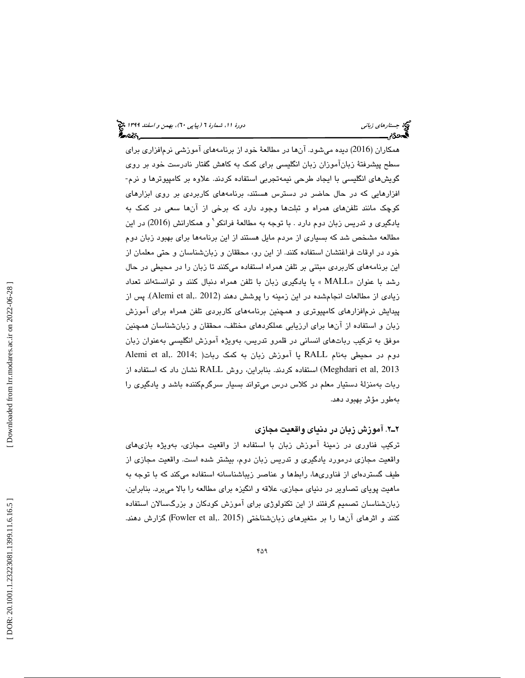همكاران (2016 ) ديده ميشود. آنها در مطالعة خود از برنامههاي آموزشي نرمافزاري براي سطح پيشرفتة زبانآموزان زبان انگليسي براي كمك به كاهش گفتار نادرست خود بر روي گويشهاي انگليسي با ايجاد طرحي نيمهتجربي استفاده كردند. علاوه بر كامپيوترها و نرم- افزارهايي كه در حال حاضر در دسترس هستند، برنامههاي كاربردي بر روي ابزارهاي كوچك مانند تلفنهاي همراه و تبلتها وجود دارد كه برخي از آنها سعي در كمك به يادگيري و تدريس زبان دوم دارد . با توجه به مطالعة فرانكو 9 و همكارانش (2016) در اين مطالعه مشخص شد كه بسياري از مردم مايل هستند از اين برنامهها براي بهبود زبان دوم خود در اوقات فراغتشان استفاده كنند. از اين رو، محققان و زبانشناسان و حتي معلمان از اين برنامههاي كاربردي مبتني بر تلفن همراه استفاده ميكنند تا زبان را در محيطي در حال رشد با عنوان «MALL » يا يادگيري زبان با تلفن همراه دنبال كنند و توانستهاند تعداد زيادي از مطالعات انجامشده در اين زمينه را پوشش دهند (Alemi et al,. 2012). پس از پيدايش نرمافزارهاي كامپيوتري و همچنين برنامههاي كاربردي تلفن همراه براي آموزش زبان و استفاده از آنها براي ارزيابي عملكردهاي مختلف، محققان و زبانشناسان همچنين موفق به تركيب رباتهاي انساني در قلمرو تدريس، بهويژه آموزش انگليسي بهعنوان زبان دوم در محيطي بهنام RALL يا آموزش زبان به كمك ربات( ;Alemi et al 2013 ,al et Meghdari ( استفاده كردند. بنابراين، روش RALL نشان داد كه استفاده از ربات بهمنزلة دستيار معلم در كلاس درس ميتواند بسيار سرگرمكننده باشد و يادگيري را بهطور مؤثر بهبود دهد.

# 2ـ2 . آموزش زبان در دنياي واقعيت مجازي

تركيب فناوري در زمينة آموزش زبان با استفاده از واقعيت مجازي، بهويژه بازيهاي واقعيت مجازي درمورد يادگيري و تدريس زبان دوم، بيشتر شده است. واقعيت مجازي از طيف گستردهاي از فناوريها، رابطها و عناصر زيباشناسانه استفاده ميكند كه با توجه به ماهيت پوياي تصاوير در دنياي مجازي، علاقه و انگيزه براي مطالعه را بالا ميبرد. بنابراين، زبانشناسان تصميم گرفتند از اين تكنولوژي براي آموزش كودكان و بزرگسالان استفاده كنند و اثرهاي آنها را بر متغيرهاي زبانشناختي (2015 ,Fowler et al) گزارش دهند.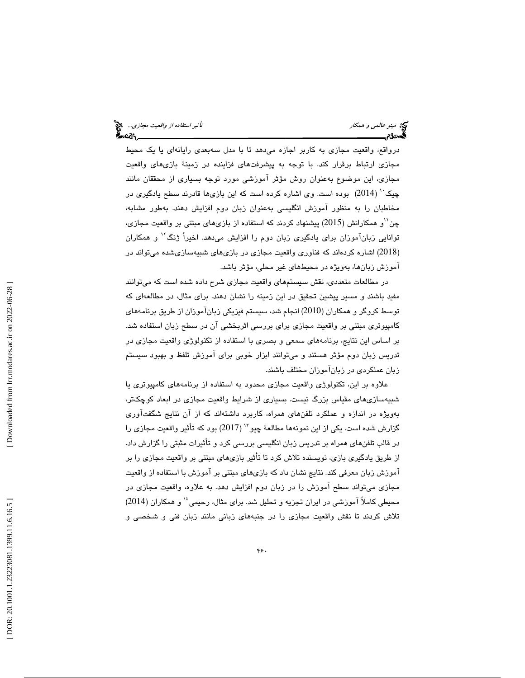درواقع، واقعيت مجازي به كاربر اجازه ميدهد تا با مدل سهبعدي رايانهاي يا يك محيط مجازي ارتباط برقرار كند. با توجه به پيشرفتهاي فزاينده در زمينة بازيهاي واقعيت مجازي، اين موضوع بهعنوان روش مؤثر آموزشي مورد توجه بسياري از محققان مانند چيک `` (2014) بوده است. وي اشاره كرده است كه اين بازيها قادرند سطح يادگيري در مخاطبان را به منظور آموزش انگليسي بهعنوان زبان دوم افزايش دهند. بهطور مشابه، چن'<sup>י(</sup>و همكارانش (2015) پیشنهاد كردند كه استفاده از بازیهای مبتنی بر واقعیت مجازی، توانايي زبانآموزان براي يادگيري زبان دوم را افزايش ميدهد. اخيراً ژنگ<sup>۱۲</sup> و همکاران 2018) اشاره كردهاند كه فناوري واقعيت مجازي در بازيهاي شبيهسازيشده ميتواند در ) آموزش زبانها، بهويژه در محيطهاي غير محلي، مؤثر باشد.

در مطالعات متعددي، نقش سيستمهاي واقعيت مجازي شرح داده شده است كه ميتوانند مفيد باشند و مسير پيشين تحقيق در اين زمينه را نشان دهند. براي مثال، در مطالعهاي كه توسط كروگر و همكاران ( 2010) انجام شد، سيستم فيزيكي زبانآموزان از طريق برنامههاي كامپيوتري مبتني بر واقعيت مجازي براي بررسي اثربخشي آن در سطح زبان استفاده شد. بر اساس اين نتايج، برنامههاي سمعي و بصري با استفاده از تكنولوژي واقعيت مجازي در تدريس زبان دوم مؤثر هستند و ميتوانند ابزار خوبي براي آموزش تلفظ و بهبود سيستم زبان عملكردي در زبانآموزان مختلف باشند.

علاوه بر اين، تكنولوژي واقعيت مجازي محدود به استفاده از برنامههاي كامپيوتري يا شبيهسازيهاي مقياس بزرگ نيست. بسياري از شرايط واقعيت مجازي در ابعاد كوچكتر، بهويژه در اندازه و عملكرد تلفنهاي همراه، كاربرد داشتهاند كه از آن نتايج شگفتآوري گزارش شده است. يكي از اين نمونهها مطالعهٔ چيو `` (2017) بود كه تأثير واقعيت مجازي را در قالب تلفنهاي همراه بر تدريس زبان انگليسي بررسي كرد و تأثيرات مثبتي را گزارش داد. از طريق يادگيري بازي، نويسنده تلاش كرد تا تأثير بازيهاي مبتني بر واقعيت مجازي را بر آموزش زبان معرفي كند. نتايج نشان داد كه بازيهاي مبتني بر آموزش با استفاده از واقعيت مجازي ميتواند سطح آموزش را در زبان دوم افزايش دهد. به علاوه، واقعيت مجازي در محيطي كاملاً آموزشي در ايران تجزيه و تحليل شد. براي مثال، رحيمي ٔ' و همكاران (2014) تلاش كردند تا نقش واقعيت مجازي را در جنبههاي زباني مانند زبان فني و شخصي و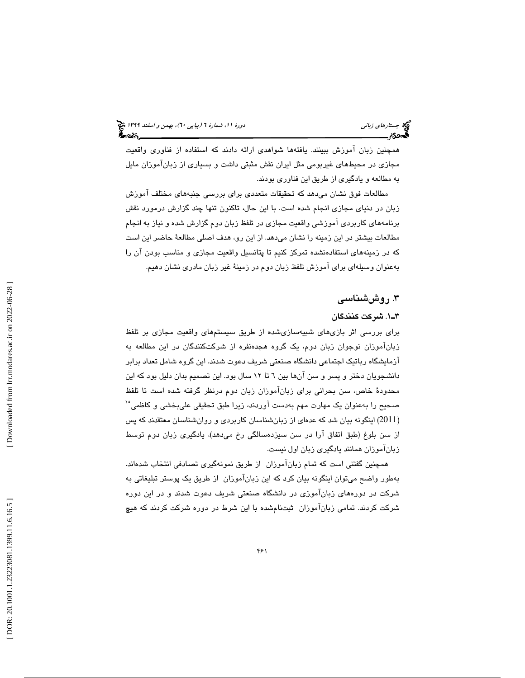همچنين زبان آموزش ببينند. يافتهها شواهدي ارائه دادند كه استفاده از فناوري واقعيت مجازي در محيطهاي غيربومي مثل ايران نقش مثبتي داشت و بسياري از زبانآموزان مايل به مطالعه و يادگيري از طريق اين فناوري بودند.

مطالعات فوق نشان ميدهد كه تحقيقات متعددي براي بررسي جنبههاي مختلف آموزش زبان در دنياي مجازي انجام شده است. با اين حال، تاكنون تنها چند گزارش درمورد نقش برنامههاي كاربردي آموزشي واقعيت مجازي در تلفظ زبان دوم گزارش شده و نياز به انجام مطالعات بيشتر در اين زمينه را نشان ميدهد. از اين رو، هدف اصلي مطالعة حاضر اين است كه در زمينههاي استفادهنشده تمركز كنيم تا پتانسيل واقعيت مجازي و مناسب بودن آن را بهعنوان وسيلهاي براي آموزش تلفظ زبان دوم در زمينة غير زبان مادري نشان دهيم.

# ۳. روششناسی

# 1ـ3 . شركت كنندگان

براي بررسي اثر بازيهاي شبيهسازيشده از طريق سيستمهاي واقعيت مجازي بر تلفظ زبانآموزان نوجوان زبان دوم، يك گروه هجدهنفره از شركتكنندگان در اين مطالعه به آزمايشگاه رباتيك اجتماعي دانشگاه صنعتي شريف دعوت شدند. اين گروه شامل تعداد برابر دانشجويان دختر و پسر و سن آنها بين 6 تا 12 سال بود. اين تصميم بدان دليل بود كه اين محدودة خاص، سن بحراني براي زبانآموزان زبان دوم درنظر گرفته شده است تا تلفظ صحيح را بهعنوان يک مهارت مهم بهدست آوردند، زيرا طبق تحقيقى علىبخشي و كاظمي<sup>1</sup>′ 2011 ) اينگونه بيان شد كه عدهاي از زبانشناسان كاربردي و روانشناسان معتقدند كه پس ) از سن بلوغ (طبق اتفاق آرا در سن سيزدهسالگي رخ ميدهد)، يادگيري زبان دوم توسط زبانآموزان همانند يادگيري زبان اول نيست .

همچنين گفتني است كه تمام زبانآموزان از طريق نمونهگيري تصادفي انتخاب شدهاند. بهطور واضح ميتوان اينگونه بيان كرد كه اين زبانآموزان از طريق يك پوستر تبليغاتي به شركت در دورههاي زبانآموزي در دانشگاه صنعتي شريف دعوت شدند و در اين دوره شركت كردند. تمامي زبانآموزان ثبتنامشده با اين شرط در دوره شركت كردند كه هيچ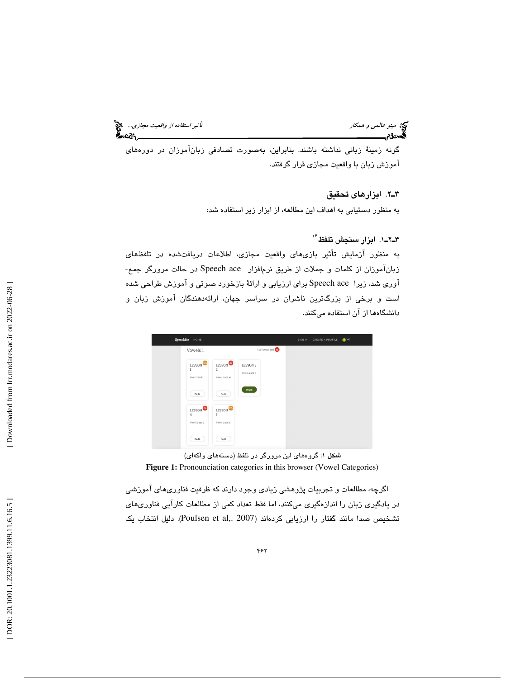مينو عالمي و همكار استفاده از واقعيت مجازي... الميخ<br>التيمين السياسي و همكار استفاده السياسي التي يتميز استفاده از واقعيت مجازي... التي يتميز استفاده از واقعيت مجا<br>التيمين التي يتميز التي يتميز التي يتميز التي يتميز التي ي

گونه زمينة زباني نداشته باشند. بنابراين، بهصورت تصادفي زبانآموزان در دورههاي آموزش زبان با واقعيت مجازي قرار گرفتند.

2ـ3 . ابزارهاي تحقيق

به منظور دستيابي به اهداف اين مطالعه، از ابزار زير استفاده شد:

# ۳ـ۲ــ۱. ابزار سنجش تلفظ <sup>۱۶</sup>

به منظور آزمايش تأثير بازىهاى واقعيت مجازى، اطلاعات دريافتشده در تلفظهاى<br>زبانآموزان از كلمات و جملات از طريق نرمافزار Speech ace در حالت مرورگر جمع-آوري شد، زيرا ace Speech براي ارزيابي و ارائة بازخورد صوتي و آموزش طراحي شده است و برخي از بزرگترين ناشران در سراسر جهان، ارائهدهندگان آموزش زبان و دانشگاهها از آن استفاده ميكنند.



شكل 1: گروههاي اين مرورگر در تلفظ (دستههاي واكهاي) **Figure 1:** Pronounciation categories in this browser (Vowel Categories)

اگرچه، مطالعات و تجربيات پژوهشي زيادي وجود دارند كه ظرفيت فناوريهاي آموزشي در يادگيري زبان را اندازهگيري ميكنند، اما فقط تعداد كمي از مطالعات كارآيي فناوريهاي تشخيص صدا مانند گفتار را ارزيابي كردهاند (Poulsen et al,. 2007). دليل انتخاب يك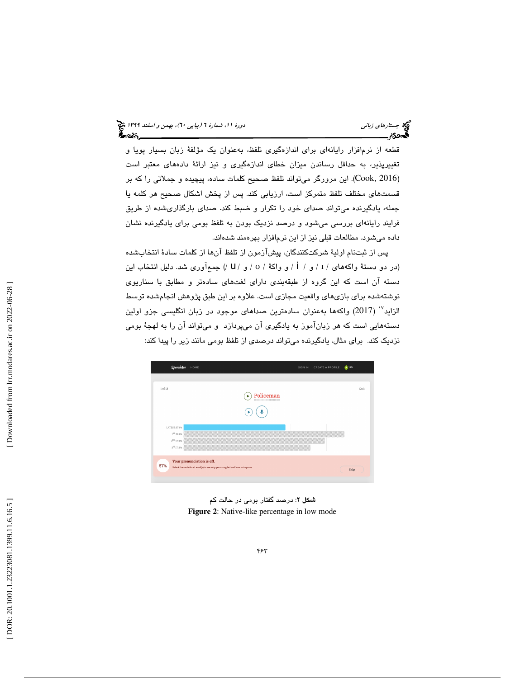قطعه از نرمافزار رايانهاي براي اندازهگيري تلفظ، بهعنوان يك مؤلفة زبان بسيار پويا و تغييرپذير، به حداقل رساندن ميزان خطاي اندازهگيري و نيز ارائة دادههاي معتبر است (Cook, 2016). اين مرورگر مى<code>تواند</code> تلفظ صحيح كلمات ساده، پيچيده و جملاتى را كه بر قسمتهاي مختلف تلفظ متمركز است، ارزيابي كند. پس از پخش اشكال صحيح هر كلمه يا جمله، يادگيرنده ميتواند صداي خود را تكرار و ضبط كند. صداي بارگذاريشده از طريق فرايند رايانهاي بررسي ميشود و درصد نزديك بودن به تلفظ بومي براي يادگيرنده نشان داده ميشود. مطالعات قبلي نيز از اين نرمافزار بهرهمند شدهاند.

پس از ثبتنام اولية شركتكنندگان، پيشآزمون از تلفظ آنها از كلمات سادة انتخابشده (در دو دستهٔ واكههاي / I / و / İ / و واكهٔ / v / و / U /) جمعآوري شد. دليل انتخاب اين دسته آن است كه اين گروه از طبقهبندي داراي لغتهاي سادهتر و مطابق با سناريوي نوشتهشده براي بازيهاي واقعيت مجازي است. علاوه بر اين طبق پژوهش انجامشده توسط الزايد $^{\rm V}$  (2017) واكهها بهعنوان سادهترين صداهاي موجود در زبان انگليسي جزو اولين دستههايي است كه هر زبانآموز به يادگيري آن ميپردازد و ميتواند آن را به لهجة بومي نزديك كند. براي مثال، يادگيرنده ميتواند درصدي از تلفظ بومي مانند زير را پيدا كند:



شكل 2: درصد گفتار بومي در حالت كم **Figure 2**: Native-like percentage in low mode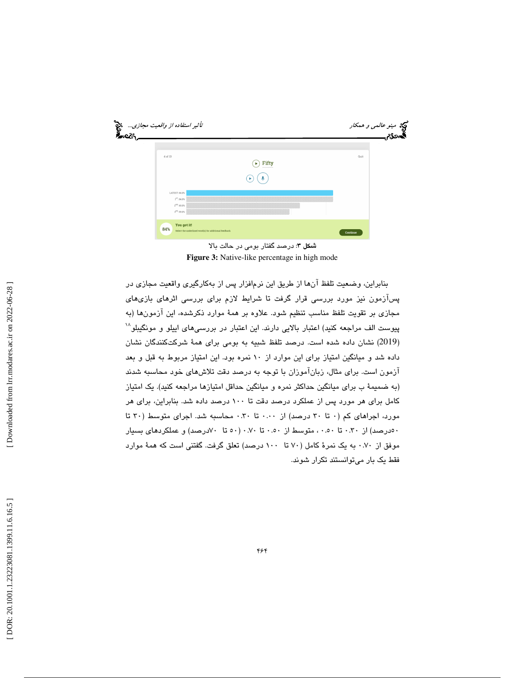

شكل 3: درصد گفتار بومي در حالت بالا **Figure 3:** Native-like percentage in high mode

بنابراين، وضعيت تلفظ آنها از طريق اين نرمافزار پس از بهكارگيري واقعيت مجازي در پسآزمون نيز مورد بررسي قرار گرفت تا شرايط لازم براي بررسي اثرهاي بازيهاي مجازي بر تقويت تلفظ مناسب تنظيم شود. علاوه بر همة موارد ذكرشده، اين آزمونها (به 18 پيوست الف مراجعه كنيد) اعتبار بالايي دارند. اين اعتبار در بررسيهاي اييلو و مونگيبلو (2019) نشان داده شده است. درصد تلفظ شبيه به بومی برای همهٔ شركتكنندگان نشان داده شد و ميانگين امتياز براي اين موارد از 10 نمره بود. اين امتياز مربوط به قبل و بعد آزمون است. براي مثال، زبانآموزان با توجه به درصد دقت تلاشهاي خود محاسبه شدند (به ضميمة ب براي ميانگين حداكثر نمره و ميانگين حداقل امتيازها مراجعه كنيد). يك امتياز كامل براي هر مورد پس از عملكرد درصد دقت تا 100 درصد داده شد. بنابراين، براي هر مورد، اجراهاي كم (٠ تا ٣٠ درصد) از ٠.٠٠ تا ٠.٣٠ محاسبه شد. اجراي متوسط (٣٠ تا 50درصد) از 0.30 تا 0.50 ، متوسط از 0.50 تا 0.70 ( 50 تا 70درصد) و عملكردهاي بسيار موفق از 0.70 به يك نمرة كامل ( 70 تا 100 درصد) تعلق گرفت. گفتني است كه همة موارد فقط يك بار ميتوانستند تكرار شوند.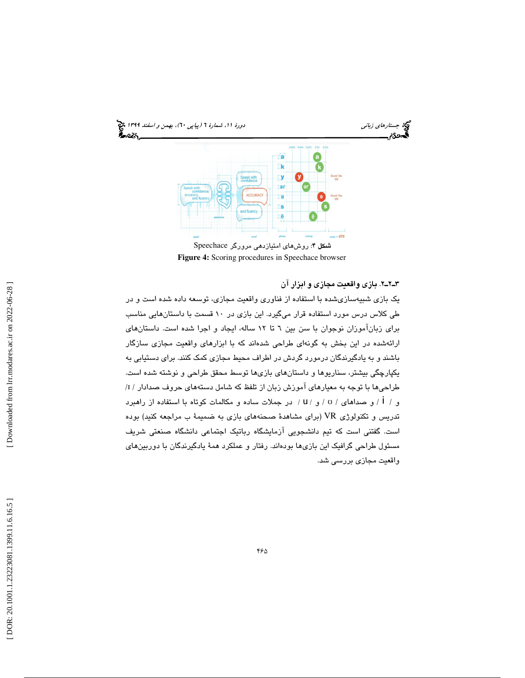

**Figure 4:** Scoring procedures in Speechace browser

2ـ2ـ3 . بازي واقعيت مجازي و ابزار آن

يك بازي شبيهسازيشده با استفاده از فناوري واقعيت مجازي، توسعه داده شده است و در طي كلاس درس مورد استفاده قرار ميگيرد. اين بازي در 10 قسمت با داستانهايي مناسب براي زبانآموزان نوجوان با سن بين 6 تا 12 ساله، ايجاد و اجرا شده است. داستانهاي ارائهشده در اين بخش به گونهاي طراحي شدهاند كه با ابزارهاي واقعيت مجازي سازگار باشند و به يادگيرندگان درمورد گردش در اطراف محيط مجازي كمك كنند. براي دستيابي به يكپارچگي بيشتر، سناريوها و داستانهاي بازيها توسط محقق طراحي و نوشته شده است. / طراحيها با توجه به معيارهاي آموزش زبان از تلفظ كه شامل دستههاي حروف صدادار / ɪ و / i / و صداهاى / v / و / u / در جملات ساده و مكالمات كوتاه با استفاده از راهبرد تدريس و تكنولوژي VR) براي مشاهدة صحنههاي بازي به ضميمة ب مراجعه كنيد) بوده است. گفتني است كه تيم دانشجويي آزمايشگاه رباتيك اجتماعي دانشگاه صنعتي شريف مسئول طراحي گرافيك اين بازيها بودهاند. رفتار و عملكرد همة يادگيرندگان با دوربينهاي واقعيت مجازي بررسي شد.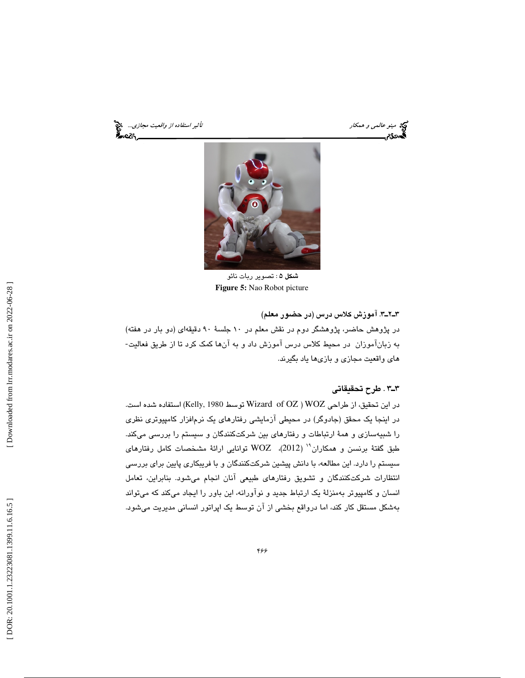مينو عالمي و همكار استفاده از واقعيت مجازي...<br>**ه**محدگان تأثير استفاده از واقعيت مجازي...<br>**به ه**محدگان استفاده استفاده استفاده استفاده استفاده استفاده از واقعيت ميكان استفاده از واقعيت مجازي... ૡઽ



شكل 5 : تصوير ربات نائو **Figure 5:** Nao Robot picture

3ـ2ـ3 . آموزش كلاس درس (در حضور معلم)

در پژوهش حاضر، پژوهشگر دوم در نقش معلم در 10 جلسة 90 دقيقهاي (دو بار در هفته) به زبانآموزان در محيط كلاس درس آموزش داد و به آنها كمك كرد تا از طريق فعاليت- هاي واقعيت مجازي و بازيها ياد بگيرند.

# 3ـ3 . طرح تحقيقاتي

در اين تحقيق، از طراحي WOZ ) OZ of Wizard توسط 1980 ,Kelly (استفاده شده است. در اينجا يك محقق (جادوگر) در محيطي آزمايشي رفتارهاي يك نرمافزار كامپيوتري نظري را شبيهسازي و همة ارتباطات و رفتارهاي بين شركتكنندگان و سيستم را بررسي ميكند. ( 2012)، WOZ توانايي ارائة مشخصات كامل رفتارهاي <sup>19</sup> طبق گفتة برنسن و همكاران سيستم را دارد. اين مطالعه، با دانش پيشين شركتكنندگان و با فريبكاري پايين براي بررسي انتظارات شركتكنندگان و تشويق رفتارهاي طبيعي آنان انجام ميشود. بنابراين، تعامل انسان و كامپيوتر بهمنزلة يك ارتباط جديد و نوآورانه، اين باور را ايجاد ميكند كه ميتواند بهشكل مستقل كار كند، اما درواقع بخشي از آن توسط يك اپراتور انساني مديريت ميشود.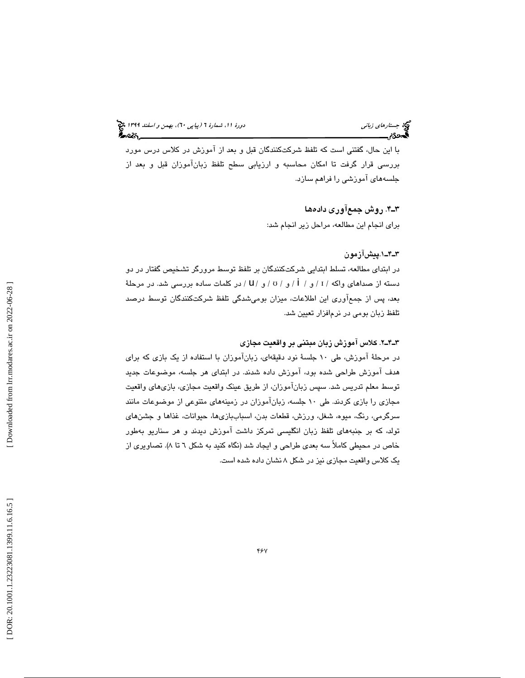با اين حال، گفتني است كه تلفظ شركتكنندگان قبل و بعد از آموزش در كلاس درس مورد بررسي قرار گرفت تا امكان محاسبه و ارزيابي سطح تلفظ زبانآموزان قبل و بعد از جلسههاي آموزشي را فراهم سازد.

# 4ـ3 . روش جمعآوري داده ها

براي انجام اين مطالعه، مراحل زير انجام شد:

# 1ـ4ـ3 .پيشآزمون

در ابتداي مطالعه، تسلط ابتدايي شركتكنندگان بر تلفظ توسط مرورگر تشخيص گفتار در دو دسته از صداهای واکه / I / و / i / و / v / و / U / در کلمات ساده بررسی شد. در مرحلهٔ بعد، پس از جمعآوري اين اطلاعات، ميزان بوميشدگي تلفظ شركتكنندگان توسط درصد تلفظ زبان بومي در نرمافزار تعيين شد.

# 2ـ4ـ3 . كلاس آموزش زبان مبتني بر واقعيت مجازي

در مرحلة آموزش، طي 10 جلسة نود دقيقهاي، زبانآموزان با استفاده از يك بازي كه براي هدف آموزش طراحي شده بود، آموزش داده شدند. در ابتداي هر جلسه، موضوعات جديد توسط معلم تدريس شد. سپس زبانآموزان، از طريق عينك واقعيت مجازي، بازيهاي واقعيت مجازي را بازي كردند. طي 10 جلسه، زبانآموزان در زمينههاي متنوعي از موضوعات مانند سرگرمي، رنگ، ميوه، شغل، ورزش، قطعات بدن، اسباببازيها، حيوانات، غذاها و جشنهاي تولد، كه بر جنبههاي تلفظ زبان انگليسي تمركز داشت آموزش ديدند و هر سناريو بهطور خاص در محيطي كاملاً سه بعدي طراحي و ايجاد شد (نگاه كنيد به شكل 6 تا 8). تصاويري از يك كلاس واقعيت مجازي نيز در شكل 8 نشان داده شده است.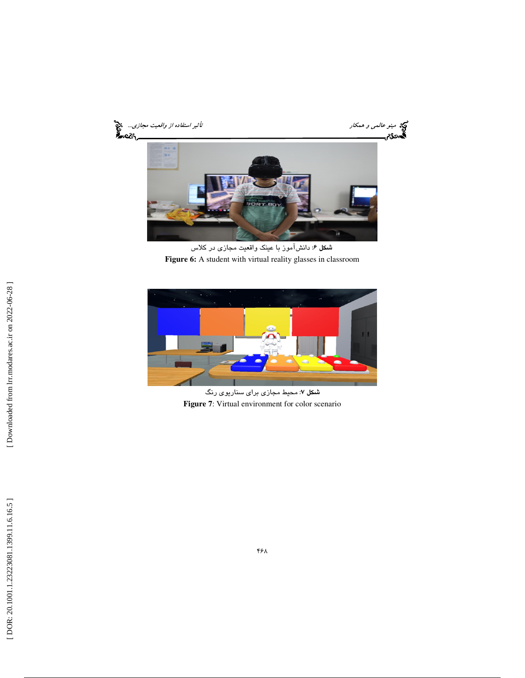

شكل 6: دانشآموز با عينك واقعيت مجازي در كلاس Figure 6: A student with virtual reality glasses in classroom



شكل ٧: محيط مجازي براي سناريوي رنگ **Figure 7**: Virtual environment for color scenario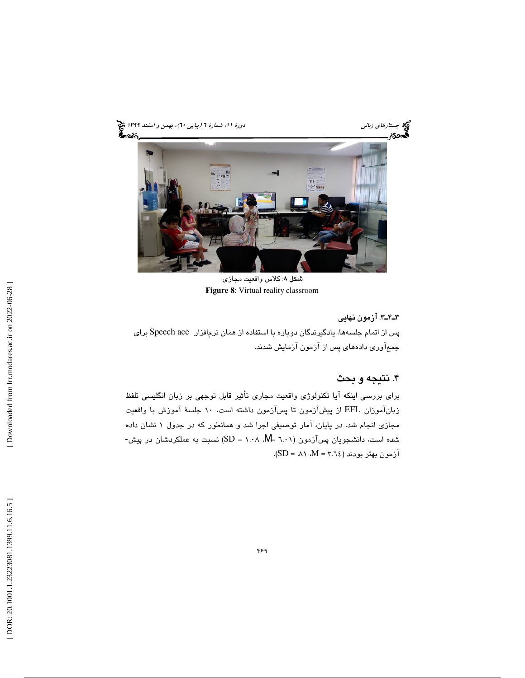

شكل 8: كلاس واقعيت مجازي **Figure 8**: Virtual reality classroom

3ـ4ـ3 . آزمون نهايي پس از اتمام جلسهها، يادگيرندگان دوباره با استفاده از همان نرمافزار ace Speech براي جمعآوري دادههاي پس از آزمون آزمايش شدند.

# . نتيجه و بحث 4

براي بررسي اينكه آيا تكنولوژي واقعيت مجاري تأثير قابل توجهي بر زبان انگليسي تلفظ زبانآموزان EFL از پيشآزمون تا پسآزمون داشته است، 10 جلسة آموزش با واقعيت مجازی انجام شد. در پایان، آمار توصیفی اجرا شد و همانطور که در جدول ۱ نشان داده<br>شده است، دانشجویان پسآزمون (۲.۰۱ k= ۲.۰۸ ، ۱۲.۱ = SD) نسبت به عملکردشان در پیش-آزمون بهتر بودند (٦٤.٣ = M، ٨١، = SD).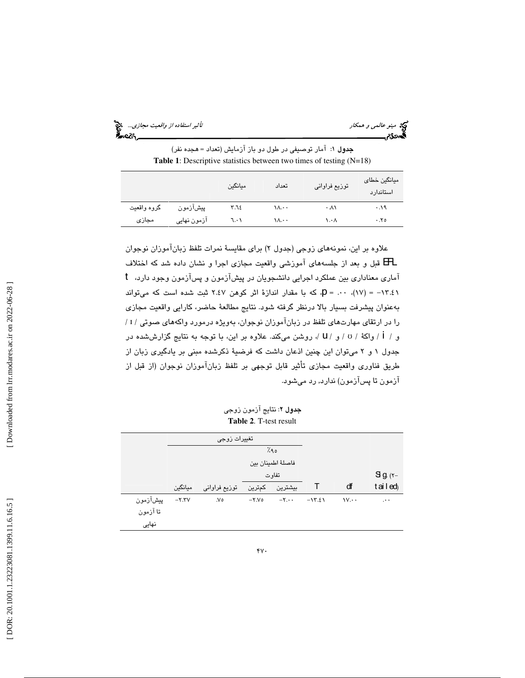مينو عالمي و همكار استفاده از واقعيت مجازي... الميخ<br>التأثير استفاده از واقعيت مجازي...<br>**التخصيل التاريخي التي يتاريخ التي يتاريخ التي يتاريخ التي يتاريخ التي** يتاريخ التي يتاريخ التي يتاريخ التي يتار

 : آمار توصيفي در طول دو باز آزمايش (تعداد = هجده نفر) جدول 1 **Table 1**: Descriptive statistics between two times of testing (N=18)

|             |             | ميانگين | تعداد | توزيع فراواني | ميانگين خطاى<br>استاندارد |
|-------------|-------------|---------|-------|---------------|---------------------------|
| گروه واقعيت | پيشآزمون    | ۳.٦٤    | ۱۸.۰۰ | ۰۸۱           | ۰۰۱۹                      |
| مجازى       | آزمون نهایی | ٦٠١     | ۱۸.۰۰ | ۰.۰۸          | .70                       |

علاوه بر اين، نمونههاي زوجي (جدول ۲) براي مقايسهٔ نمرات تلفظ زبانآموزان نوجوان آماري معناداري بين عملكرد اجرايي دانشجويان در پيشآزمون و پسآزمون وجود دارد، <sup>t</sup> EFL قبل و بعد از جلسههاي آموزشي واقعيت مجازي اجرا و نشان داده شد كه اختلاف ، كه با مقدار اندازة اثر كوهن 2.47 ثبت شده است كه ميتواند p = .00 ،(17) = -13.41 بهعنوان پيشرفت بسيار بالا درنظر گرفته شود. نتايج مطالعة حاضر، كارايي واقعيت مجازي / را در ارتقاي مهارتهاي تلفظ در زبانآموزان نوجوان، بهويژه درمورد واكههاي صوتي / ɪ و / İ / واكة / ʊ / و / U /، روشن مىكند. علاوه بر اين، با توجه به نتايج گزارششده در جدول 1 2و ميتوان اين چنين اذعان داشت كه فرضية ذكرشده مبني بر يادگيري زبان از طريق فناوري واقعيت مجازي تأثير قابل توجهي بر تلفظ زبانآموزان نوجوان (از قبل از آزمون تا پسآزمون) ندارد, رد میشود.

**جدول ۲**: نتايج آزمون زوجي **Table 2**. T-test result

|          | تغييرات زوجى |               |                |                              |          |                                       |                         |
|----------|--------------|---------------|----------------|------------------------------|----------|---------------------------------------|-------------------------|
|          |              |               |                | 7.90                         |          |                                       |                         |
|          |              |               |                | فاصلهٔ اطمينان بين           |          |                                       |                         |
|          |              |               |                | تفاوت                        |          |                                       | $g_{\alpha}$ ( $\tau$ - |
|          | ميانگين      | توزیع فراوانی | بیشترین کمترین |                              |          | ďf                                    | tailed                  |
| پیشآزمون | $-Y.YV$      | ٧٥.           | $-Y.Vo$        | $-\mathsf{Y}\cdot\cdot\cdot$ | $-15.21$ | $\mathsf{V}\mathsf{V}\cdot\mathsf{V}$ | $\cdots$                |
| تا آزمون |              |               |                |                              |          |                                       |                         |
| نهایی    |              |               |                |                              |          |                                       |                         |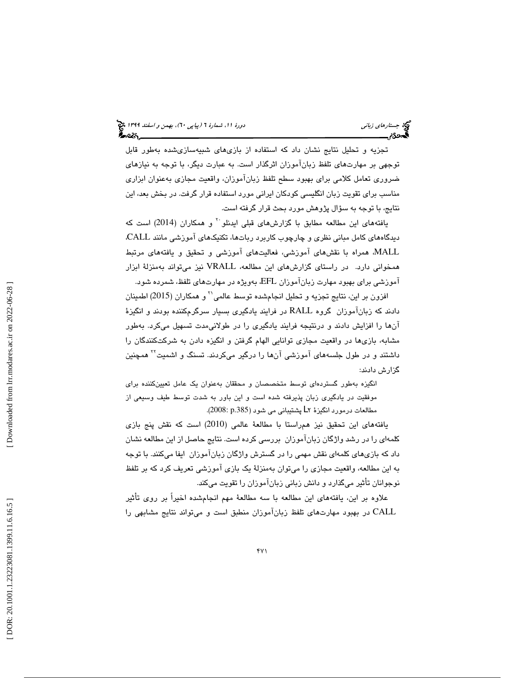تجزيه و تحليل نتايج نشان داد كه استفاده از بازيهاي شبيهسازيشده بهطور قابل توجهي بر مهارتهاي تلفظ زبانآموزان اثرگذار است. به عبارت ديگر، با توجه به نيازهاي ضروري تعامل كلامي براي بهبود سطح تلفظ زبانآموزان، واقعيت مجازي بهعنوان ابزاري مناسب براي تقويت زبان انگليسي كودكان ايراني مورد استفاده قرار گرفت. در بخش بعد، اين نتايج، با توجه به سؤال پژوهش مورد بحث قرار گرفته اس ت.

يافتههای اين مطالعه مطابق با گزارشهای قبلی ايدنلو<sup>۲۰</sup> و همکاران (2014) است که ديدگاههاي كامل مباني نظري و چارچوب كاربرد رباتها، تكنيكهاي آموزشي مانند CALL، MALL، همراه با نقشهاي آموزشي، فعاليتهاي آموزشي و تحقيق و يافتههاي مرتبط همخواني دارد. در راستاي گزارشهاي اين مطالعه، VRALL نيز ميتواند بهمنزلة ابزار آموزشي براي بهبود مهارت زبانآموزان EFL، بهويژه در مهارتهاي تلفظ، شمرده شود.

افزون بر اين، نتايج تجزيه و تحليل انجامشده توسط عالمي<sup>7</sup> و همكاران (2015) اطمينان دادند كه زبانآموزان گروه RALL در فرايند يادگيري بسيار سرگرمكننده بودند و انگيزة آنها را افزايش دادند و درنتيجه فرايند يادگيري را در طولانيمدت تسهيل ميكرد. بهطور مشابه، بازيها در واقعيت مجازي توانايي الهام گرفتن و انگيزه دادن به شركتكنندگان را داشتند و در طول جلسههای آموزشی آنها را درگیر میکردند. تسنگ و اشمیت<sup>۲</sup> همچنین گزارش دادند:

انگيزه بهطور گستردهاي توسط متخصصان و محققان بهعنوان يك عامل تعيينكننده براي موفقيت در يادگيري زبان پذيرفته شده است و اين باور به شدت توسط طيف وسيعي از مطالعات درمورد انگيزهٔ ۲ـأ پشتيباني مي شود (2003: p.385).

يافتههاي اين تحقيق نيز همراستا با مطالعة عالمي (2010) است كه نقش پنج بازي كلمهاي را در رشد واژگان زبانآموزان بررسي كرده است. نتايج حاصل از اين مطالعه نشان داد كه بازيهاي كلمهاي نقش مهمي را در گسترش واژگان زبانآموزان ايفا ميكنند. با توجه به اين مطالعه، واقعيت مجازي را ميتوان بهمنزلة يك بازي آموزشي تعريف كرد كه بر تلفظ نوجوانان تأثير ميگذارد و دانش زباني زبانآموزان را تقويت ميكند.

علاوه بر اين، يافتههاي اين مطالعه با سه مطالعة مهم انجامشده اخيراً بر روي تأثير CALL در بهبود مهارتهاي تلفظ زبانآموزان منطبق است و ميتواند نتايج مشابهي را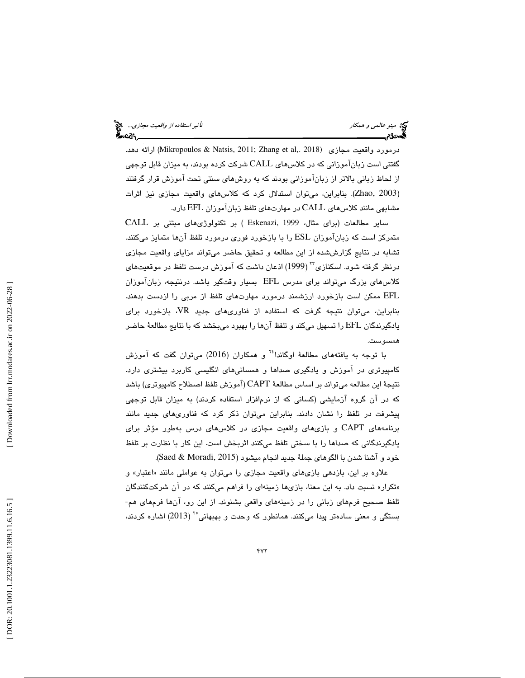|  | تأثیر <i>استفاده از واقعیت مجازی</i> چیپ<br>میروه |  |
|--|---------------------------------------------------|--|
|  |                                                   |  |

درمورد واقعيت مجازي (2018 ,Mikropoulos & Natsis, 2011; Zhang et al ارائه دهد. گفتني است زبانآموزاني كه در كلاسهاي CALL شركت كرده بودند، به ميزان قابل توجهي از لحاظ زباني بالاتر از زبانآموزاني بودند كه به روشهاي سنتي تحت آموزش قرار گرفتند (Zhao, 2003). بنابراين، ميتوان استدلال كرد كه كلاسهاي واقعيت مجازي نيز اثرات مشابهي مانند كلاسهاي CALL در مهارتهاي تلفظ زبانآموزان EFL دارد.

ساير مطالعات (براي مثال، 1999 ,Eskenazi ( بر تكنولوژيهاي مبتني بر CALL متمركز است كه زبانآموزان ESL را با بازخورد فوري درمورد تلفظ آنها متمايز ميكنند. تشابه در نتايج گزارششده از اين مطالعه و تحقيق حاضر ميتواند مزاياي واقعيت مجازي درنظر گرفته شود. اسکنازی $\mathrm{T}^\mathrm{v}$  (1999) اذعان داشت که آموزش درست تلفظ در موقعیتهای كلاسهاي بزرگ ميتواند براي مدرس EFL بسيار وقتگير باشد. درنتيجه، زبانآموزان EFL ممكن است بازخورد ارزشمند درمورد مهارتهاي تلفظ از مربي را ازدست بدهند. بنابراين، ميتوان نتيجه گرفت كه استفاده از فناوريهاي جديد VR، بازخورد براي يادگيرندگان EFL را تسهيل ميكند و تلفظ آنها را بهبود ميبخشد كه با نتايج مطالعة حاضر همسوست.

با توجه به يافتههاى مطالعهٔ اوگاندا<sup>،۲</sup> و همكاران (2016) مىتوان گفت كه آموزش كامپيوتري در آموزش و يادگيري صداها و همسانيهاي انگليسي كاربرد بيشتري دارد. نتيجة اين مطالعه ميتواند بر اساس مطالعة CAPT) آموزش تلفظ اصطلاح كامپيوتري) باشد كه در آن گروه آزمايشي (كساني كه از نرمافزار استفاده كردند) به ميزان قابل توجهي پيشرفت در تلفظ را نشان دادند. بنابراين ميتوان ذكر كرد كه فناوريهاي جديد مانند برنامههاي CAPT و بازيهاي واقعيت مجازي در كلاسهاي درس بهطور مؤثر براي يادگيرندگاني كه صداها را با سختي تلفظ ميكنند اثربخش است. اين كار با نظارت بر تلفظ خود و آشنا شدن با الگوهاي جملهٔ جديد انجام ميشود (Saed & Moradi, 2015).

علاوه بر اين، بازدهي بازيهاي واقعيت مجازي را ميتوان به عواملي مانند «اعتبار» و «تكرار» نسبت داد. به اين معنا، بازىها زمينهاى را فراهم مىكنند كه در آن شركتكنندگان تلفظ صحيح فرمهاي زباني را در زمينههاي واقعي بشنوند. از اين رو، آنها فرمهاي هم- بستگي و معني سادهتر پيدا ميكنند. همانطور كه وحدت و بهبهاني°٬ (2013) اشاره كردند،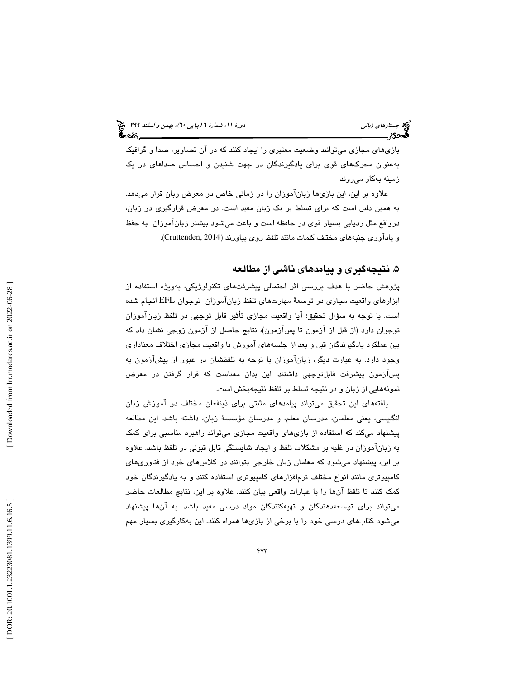بازيهاي مجازي ميتوانند وضعيت معتبري را ايجاد كنند كه در آن تصاوير، صدا و گرافيك بهعنوان محركهاي قوي براي يادگيرندگان در جهت شنيدن و احساس صداهاي در يك زمينه بهكار ميروند.

علاوه بر اين، اين بازيها زبانآموزان را در زماني خاص در معرض زبان قرار ميدهد. به همين دليل است كه براي تسلط بر يك زبان مفيد است. در معرض قرارگيري در زبان، درواقع مثل رديابي بسيار قوي در حافظه است و باعث ميشود بيشتر زبانآموزان به حفظ و يادآوري جنبههاي مختلف كلمات مانند تلفظ روي بياورند (2014 ,Cruttenden( .

# ۵. نتيجهگيری و پيامدهای ناشی از مطالعه

پژوهش حاضر با هدف بررسي اثر احتمالي پيشرفتهاي تكنولوژيكي، بهويژه استفاده از ابزارهاي واقعيت مجازي در توسعة مهارتهاي تلفظ زبانآموزان نوجوان EFL انجام شده است. با توجه به سؤال تحقيق؛ آيا واقعيت مجازي تأثير قابل توجهي در تلفظ زبانآموزان نوجوان دارد (از قبل از آزمون تا پسآزمون)، نتايج حاصل از آزمون زوجي نشان داد كه بين عملكرد يادگيرندگان قبل و بعد از جلسههاي آموزش با واقعيت مجازي اختلاف معناداري وجود دارد. به عبارت ديگر، زبانآموزان با توجه به تلفظشان در عبور از پيشآزمون به پسآزمون پيشرفت قابلتوجهي داشتند. اين بدان معناست كه قرار گرفتن در معرض نمونههايي از زبان و در نتيجه تسلط بر تلفظ نتيجهبخش است.

يافتههاي اين تحقيق ميتواند پيامدهاي مثبتي براي ذينفعان مختلف در آموزش زبان انگليسي، يعني معلمان، مدرسان معلم، و مدرسان مؤسسة زبان، داشته باشد. اين مطالعه پيشنهاد ميكند كه استفاده از بازيهاي واقعيت مجازي ميتواند راهبرد مناسبي براي كمك به زبانآموزان در غلبه بر مشكلات تلفظ و ايجاد شايستگي قابل قبولي در تلفظ باشد. علاوه بر اين، پيشنهاد ميشود كه معلمان زبان خارجي بتوانند در كلاسهاي خود از فناوريهاي كامپيوترى مانند انواع مختلف نرم|فزارهاى كامپيوترى استفاده كنند و به يادگيرندگان خود كمك كنند تا تلفظ آنها را با عبارات واقعي بيان كنند. علاوه بر اين، نتايج مطالعات حاضر ميتواند براي توسعهدهندگان و تهيهكنندگان مواد درسي مفيد باشد. به آنها پيشنهاد ميشود كتابهاي درسي خود را با برخي از بازيها همراه كنند. اين بهكارگيري بسيار مهم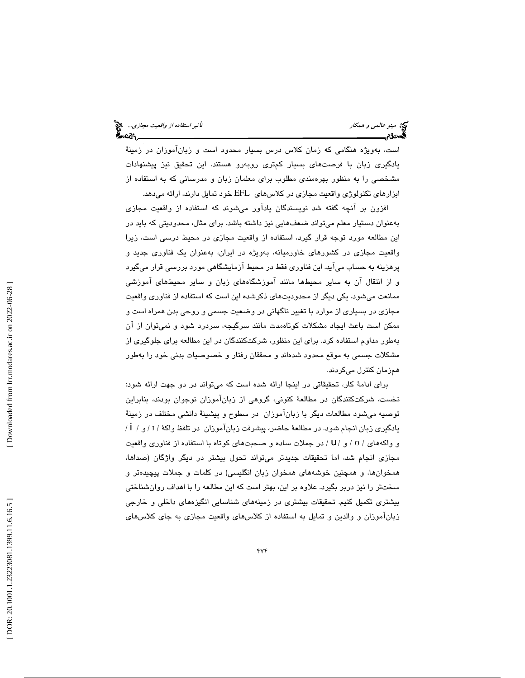است، بهويژه هنگامي كه زمان كلاس درس بسيار محدود است و زبانآموزان در زمينة يادگيري زبان با فرصتهاي بسيار كمتري روبهرو هستند. اين تحقيق نيز پيشنهادات مشخصي را به منظور بهرهمندي مطلوب براي معلمان زبان و مدرساني كه به استفاده از ابزارهاي تكنولوژي واقعيت مجازي در كلاسهاي EFL خود تمايل دارند، ارائه ميدهد.

افزون بر آنچه گفته شد نويسندگان يادآور ميشوند كه استفاده از واقعيت مجازي بهعنوان دستيار معلم ميتواند ضعفهايي نيز داشته باشد. براي مثال، محدوديتي كه بايد در اين مطالعه مورد توجه قرار گيرد، استفاده از واقعيت مجازي در محيط درسي است، زيرا واقعيت مجازي در كشورهاي خاورميانه، بهويژه در ايران، بهعنوان يك فناوري جديد و پرهزينه به حساب ميآيد. اين فناوري فقط در محيط آزمايشگاهي مورد بررسي قرار ميگيرد و از انتقال آن به ساير محيطها مانند آموزشگاههاي زبان و ساير محيطهاي آموزشي ممانعت ميشود. يكي ديگر از محدوديتهاي ذكرشده اين است كه استفاده از فناوري واقعيت مجازي در بسياري از موارد با تغيير ناگهاني در وضعيت جسمي و روحي بدن همراه است و ممكن است باعث ايجاد مشكلات كوتاهمدت مانند سرگيجه، سردرد شود و نميتوان از آن بهطور مداوم استفاده كرد. براي اين منظور، شركتكنندگان در اين مطالعه براي جلوگيري از مشکلات جسمی به موقع محدود شدهاند و محققان رفتار و خصوصیات بدنی خود را بهطور همزمان كنترل ميكردند.

براي ادامة كار، تحقيقاتي در اينجا ارائه شده است كه ميتواند در دو جهت ارائه شود: نخست، شركتكنندگان در مطالعة كنوني، گروهي از زبانآموزان نوجوان بودند، بنابراين توصيه ميشود مطالعات ديگر با زبانآموزان در سطوح و پيشينة دانشي مختلف در زمينة یادگیری زبان انجام شود. در مطالعهٔ حاضر، پیشرفت زبانآموزان در تلفظ واکهٔ / ɪ / و / İ / و واكههاي / v / و / U / در جملات ساده و صحبتهاي كوتاه با استفاده از فناوري واقعيت مجازي انجام شد، اما تحقيقات جديدتر ميتواند تحول بيشتر در ديگر واژگان (صداها، همخوانها، و همچنين خوشههاي همخوان زبان انگليسي) در كلمات و جملات پيچيدهتر و سختتر را نيز دربر بگيرد. علاوه بر اين، بهتر است كه اين مطالعه را با اهداف روانشناختي بيشتري تكميل كنيم. تحقيقات بيشتري در زمينههاي شناسايي انگيزههاي داخلي و خارجي زبانآموزان و والدين و تمايل به استفاده از كلاسهاي واقعيت مجازي به جاي كلاسهاي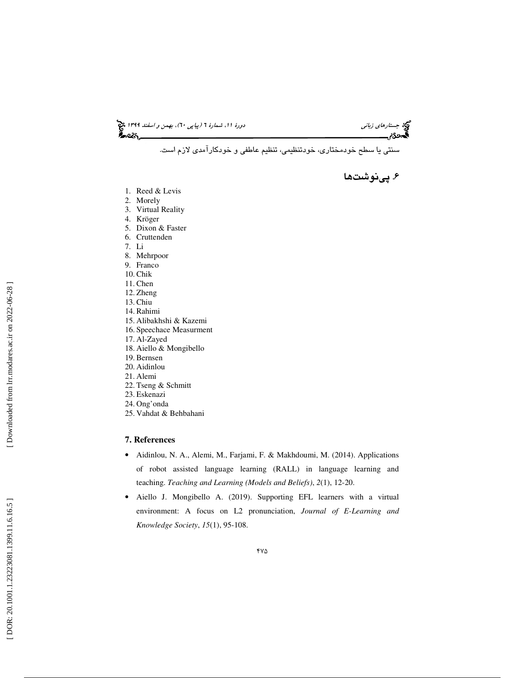جستاره*اي زباني (بياپي 60)، بهمن و اسفند 1*394 فرانس به 130 دورة ا $\mu$  شمارة 1 (پياپي 61)، بهم*ن و اسفند 1*34 فر

سنتي يا سطح خودمختاري، خودتنظيمي، تنظيم عاطفي و خودكارآمدي لازم است.

. پينوشت ها 6

- 1. Reed & Levis
- 2. Morely
- 3. Virtual Reality
- 4. Kröger
- 5. Dixon & Faster
- 6. Cruttenden
- 7. Li
- 8. Mehrpoor
- 9. Franco
- 10. Chik
- 11. Chen
- 12. Zheng
- 13. Chiu
- 14. Rahimi 15. Alibakhshi & Kazemi
- 16. Speechace Measurment
- 17. Al-Zayed
- 18. Aiello & Mongibello
- 19. Bernsen
- 20. Aidinlou
- 21. Alemi
- 22. Tseng & Schmitt
- 23. Eskenazi
- 24. Ong'onda
- 25. Vahdat & Behbahani

## **7. References**

- Aidinlou, N. A., Alemi, M., Farjami, F. & Makhdoumi, M. (2014). Applications of robot assisted language learning (RALL) in language learning and teaching. *Teaching and Learning (Models and Beliefs)*, *2*(1), 12-20.
- Aiello J. Mongibello A. (2019). Supporting EFL learners with a virtual environment: A focus on L2 pronunciation, *Journal of E-Learning and Knowledge Society*, *15*(1), 95-108.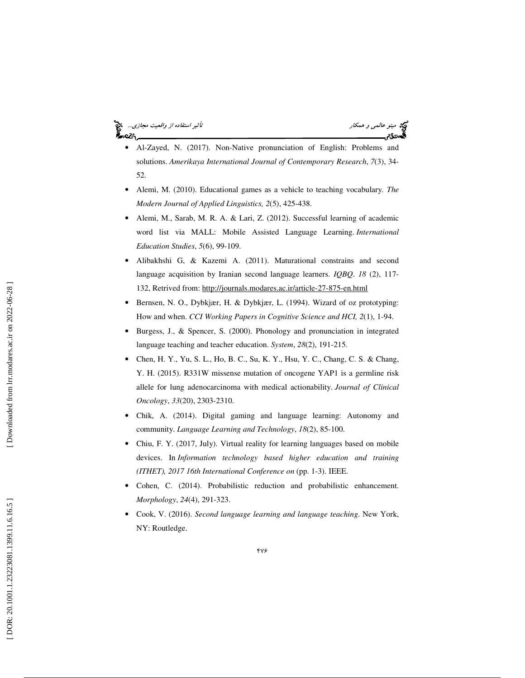## مينو عالمي و همكار استفاده از واقعيت مجازي... التي تأثير استفاده از واقعيت مجازي... التي تأثير استفاده از واقعيت مجازي... ۰cồ۹.

- Al-Zayed, N. (2017). Non-Native pronunciation of English: Problems and solutions. *Amerikaya International Journal of Contemporary Research*, *7*(3), 34- 52.
- Alemi, M. (2010). Educational games as a vehicle to teaching vocabulary*. The Modern Journal of Applied Linguistics, 2*(5), 425-438.
- Alemi, M., Sarab, M. R. A. & Lari, Z. (2012). Successful learning of academic word list via MALL: Mobile Assisted Language Learning. *International Education Studies*, *5*(6), 99-109.
- Alibakhshi G, & Kazemi A. (2011). Maturational constrains and second language acquisition by Iranian second language learners. *IQBQ*. *18* (2), 117- 132, Retrived from: http://journals.modares.ac.ir/article-27-875-en.html
- Bernsen, N. O., Dybkjær, H. & Dybkjær, L. (1994). Wizard of oz prototyping: How and when. *CCI Working Papers in Cognitive Science and HCI, 2*(1), 1-94.
- Burgess, J., & Spencer, S. (2000). Phonology and pronunciation in integrated language teaching and teacher education. *System*, *28*(2), 191-215.
- Chen, H. Y., Yu, S. L., Ho, B. C., Su, K. Y., Hsu, Y. C., Chang, C. S. & Chang, Y. H. (2015). R331W missense mutation of oncogene YAP1 is a germline risk allele for lung adenocarcinoma with medical actionability. *Journal of Clinical Oncology*, *33*(20), 2303-2310.
- Chik, A. (2014). Digital gaming and language learning: Autonomy and community. *Language Learning and Technology*, *18*(2), 85-100.
- Chiu, F. Y. (2017, July). Virtual reality for learning languages based on mobile devices. In *Information technology based higher education and training (ITHET), 2017 16th International Conference on* (pp. 1-3). IEEE.
- Cohen, C. (2014). Probabilistic reduction and probabilistic enhancement. *Morphology*, *24*(4), 291-323.
- Cook, V. (2016). *Second language learning and language teaching*. New York, NY: Routledge.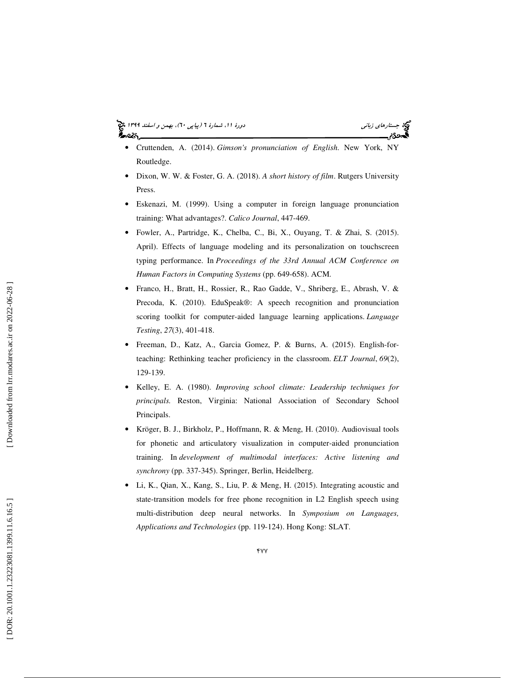#### جستاره*اي زباني (بياپي 60)، بهمن و اسفند 1*394 فرانس به 130 دورة ا $\mu$  شمارة 1 (پياپي 61)، بهم*ن و اسفند 1*34 فر ಹಿಂದಿ

- Cruttenden, A. (2014). *Gimson's pronunciation of English*. New York, NY Routledge.
- Dixon, W. W. & Foster, G. A. (2018). *A short history of film*. Rutgers University Press.
- Eskenazi, M. (1999). Using a computer in foreign language pronunciation training: What advantages?. *Calico Journal*, 447-469.
- Fowler, A., Partridge, K., Chelba, C., Bi, X., Ouyang, T. & Zhai, S. (2015). April). Effects of language modeling and its personalization on touchscreen typing performance. In *Proceedings of the 33rd Annual ACM Conference on Human Factors in Computing Systems* (pp. 649-658). ACM.
- Franco, H., Bratt, H., Rossier, R., Rao Gadde, V., Shriberg, E., Abrash, V. & Precoda, K. (2010). EduSpeak®: A speech recognition and pronunciation scoring toolkit for computer-aided language learning applications. *Language Testing*, *27*(3), 401-418.
- Freeman, D., Katz, A., Garcia Gomez, P. & Burns, A. (2015). English-forteaching: Rethinking teacher proficiency in the classroom. *ELT Journal*, *69*(2), 129-139.
- Kelley, E. A. (1980). *Improving school climate: Leadership techniques for principals.* Reston, Virginia: National Association of Secondary School Principals.
- Kröger, B. J., Birkholz, P., Hoffmann, R. & Meng, H. (2010). Audiovisual tools for phonetic and articulatory visualization in computer-aided pronunciation training. In *development of multimodal interfaces: Active listening and synchrony* (pp. 337-345). Springer, Berlin, Heidelberg.
- Li, K., Qian, X., Kang, S., Liu, P. & Meng, H. (2015). Integrating acoustic and state-transition models for free phone recognition in L2 English speech using multi-distribution deep neural networks. In *Symposium on Languages, Applications and Technologies* (pp. 119-124). Hong Kong: SLAT.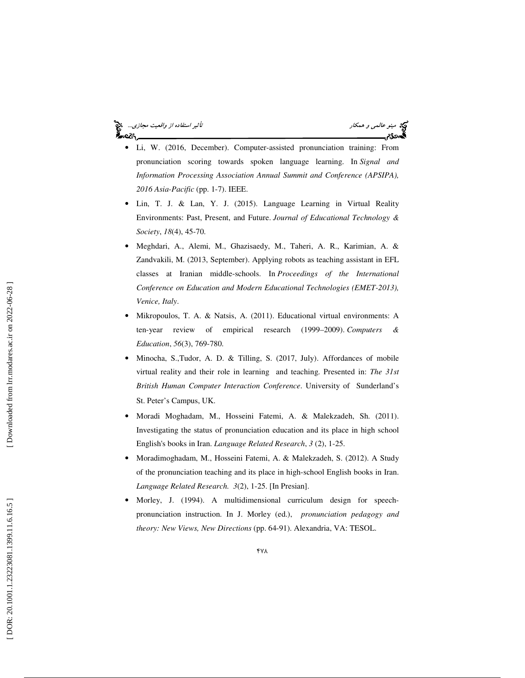#### مينو عالمي و همكار تأثير استفاده از واقعيت مجازي... ۰cồ۹.

- Li, W. (2016, December). Computer-assisted pronunciation training: From pronunciation scoring towards spoken language learning. In *Signal and Information Processing Association Annual Summit and Conference (APSIPA), 2016 Asia-Pacific* (pp. 1-7). IEEE.
- Lin, T. J. & Lan, Y. J. (2015). Language Learning in Virtual Reality Environments: Past, Present, and Future. *Journal of Educational Technology & Society*, *18*(4), 45-70.
- Meghdari, A., Alemi, M., Ghazisaedy, M., Taheri, A. R., Karimian, A. & Zandvakili, M. (2013, September). Applying robots as teaching assistant in EFL classes at Iranian middle-schools. In *Proceedings of the International Conference on Education and Modern Educational Technologies (EMET-2013), Venice, Italy*.
- Mikropoulos, T. A. & Natsis, A. (2011). Educational virtual environments: A ten-year review of empirical research (1999–2009). *Computers & Education*, *56*(3), 769-780.
- Minocha, S.,Tudor, A. D. & Tilling, S. (2017, July). Affordances of mobile virtual reality and their role in learning and teaching. Presented in: *The 31st British Human Computer Interaction Conference*. University of Sunderland's St. Peter's Campus, UK.
- Moradi Moghadam, M., Hosseini Fatemi, A. & Malekzadeh, Sh. (2011). Investigating the status of pronunciation education and its place in high school English's books in Iran. *Language Related Research*, *3* (2), 1-25.
- Moradimoghadam, M., Hosseini Fatemi, A. & Malekzadeh, S. (2012). A Study of the pronunciation teaching and its place in high-school English books in Iran. *Language Related Research. 3*(2), 1-25. [In Presian].
- Morley, J. (1994). A multidimensional curriculum design for speechpronunciation instruction. In J. Morley (ed.), *pronunciation pedagogy and theory: New Views, New Directions* (pp. 64-91). Alexandria, VA: TESOL.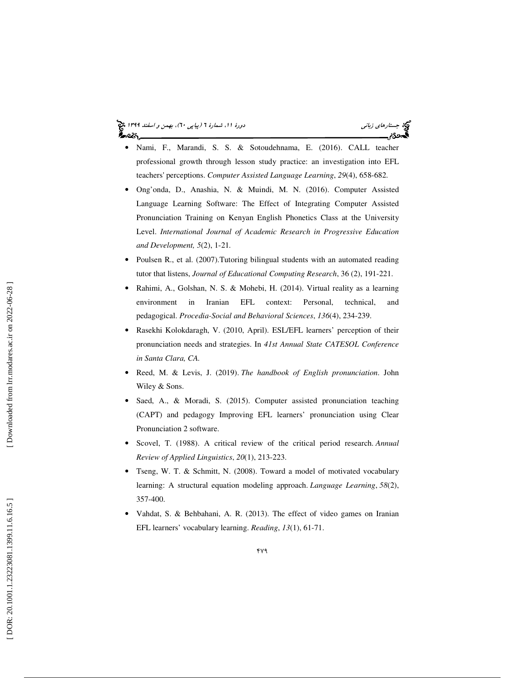#### جستاره*اي زباني (بياپي 60)، بهمن و اسفند 1*394 فرانس به 130 دورة ا $\mu$  شمارة 1 (پياپي 61)، بهم*ن و اسفند 1*34 فر ಹಿಂದಿ

- Nami, F., Marandi, S. S. & Sotoudehnama, E. (2016). CALL teacher professional growth through lesson study practice: an investigation into EFL teachers' perceptions. *Computer Assisted Language Learning*, *29*(4), 658-682.
- Ong'onda, D., Anashia, N. & Muindi, M. N. (2016). Computer Assisted Language Learning Software: The Effect of Integrating Computer Assisted Pronunciation Training on Kenyan English Phonetics Class at the University Level. *International Journal of Academic Research in Progressive Education and Development, 5*(2), 1-21 *.*
- Poulsen R., et al. (2007). Tutoring bilingual students with an automated reading tutor that listens, *Journal of Educational Computing Research*, 36 (2), 191-221.
- Rahimi, A., Golshan, N. S. & Mohebi, H. (2014). Virtual reality as a learning environment in Iranian EFL context: Personal, technical, and pedagogical. *Procedia-Social and Behavioral Sciences*, *136*(4), 234-239.
- Rasekhi Kolokdaragh, V. (2010, April). ESL/EFL learners' perception of their pronunciation needs and strategies. In *41st Annual State CATESOL Conference in Santa Clara, CA.*
- Reed, M. & Levis, J. (2019). *The handbook of English pronunciation*. John Wiley & Sons.
- Saed, A., & Moradi, S. (2015). Computer assisted pronunciation teaching (CAPT) and pedagogy Improving EFL learners' pronunciation using Clear Pronunciation 2 software.
- Scovel, T. (1988). A critical review of the critical period research. *Annual Review of Applied Linguistics*, *20*(1), 213-223.
- Tseng, W. T. & Schmitt, N. (2008). Toward a model of motivated vocabulary learning: A structural equation modeling approach. *Language Learning*, *58*(2), 357-400.
- Vahdat, S. & Behbahani, A. R. (2013). The effect of video games on Iranian EFL learners' vocabulary learning. *Reading*, *13*(1), 61-71.